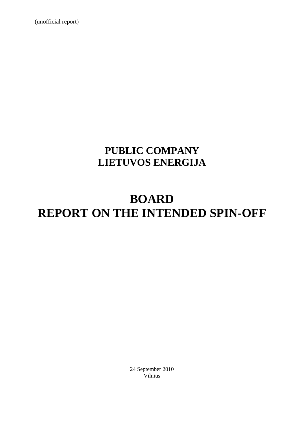(unofficial report)

## **PUBLIC COMPANY LIETUVOS ENERGIJA**

# **BOARD REPORT ON THE INTENDED SPIN-OFF**

24 September 2010 Vilnius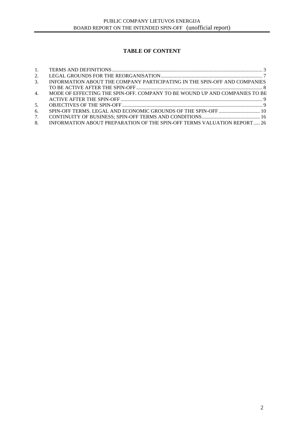### **TABLE OF CONTENT**

| 2.               |                                                                            |  |
|------------------|----------------------------------------------------------------------------|--|
| $\mathfrak{Z}$ . | INFORMATION ABOUT THE COMPANY PARTICIPATING IN THE SPIN-OFF AND COMPANIES  |  |
|                  |                                                                            |  |
| 4 <sub>1</sub>   | MODE OF EFFECTING THE SPIN-OFF. COMPANY TO BE WOUND UP AND COMPANIES TO BE |  |
|                  |                                                                            |  |
| 5 <sub>1</sub>   |                                                                            |  |
| 6.               |                                                                            |  |
| 7.               |                                                                            |  |
| 8.               | INFORMATION ABOUT PREPARATION OF THE SPIN-OFF TERMS VALUATION REPORT 26    |  |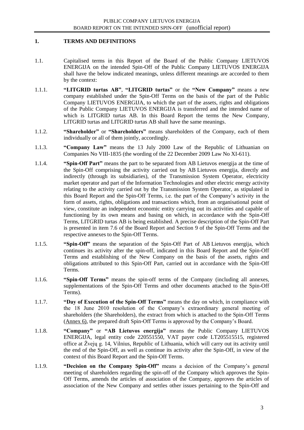#### **1. TERMS AND DEFINITIONS**

- 1.1. Capitalised terms in this Report of the Board of the Public Company LIETUVOS ENERGIJA on the intended Spin-Off of the Public Company LIETUVOS ENERGIJA shall have the below indicated meanings, unless different meanings are accorded to them by the context:
- 1.1.1. **"LITGRID turtas AB"**, **"LITGRID turtas"** or the **"New Company"** means a new company established under the Spin-Off Terms on the basis of the part of the Public Company LIETUVOS ENERGIJA, to which the part of the assets, rights and obligations of the Public Company LIETUVOS ENERGIJA is transferred and the intended name of which is LITGRID turtas AB. In this Board Report the terms the New Company, LITGRID turtas and LITGRID turtas AB shall have the same meanings.
- 1.1.2. **"Shareholder"** or **"Shareholders"** means shareholders of the Company, each of them individually or all of them jointly, accordingly.
- 1.1.3. **"Company Law"** means the 13 July 2000 Law of the Republic of Lithuanian on Companies No VIII-1835 (the wording of the 22 December 2009 Law No XI-611).
- 1.1.4. **"Spin-Off Part"** means the part to be separated from AB Lietuvos energija at the time of the Spin-Off comprising the activity carried out by AB Lietuvos energija, directly and indirectly (through its subsidiaries), of the Transmission System Operator, electricity market operator and part of the Information Technologies and other electric energy activity relating to the activity carried out by the Transmission System Operator, as stipulated in this Board Report and the Spin-Off Terms, i.e. the part of the Company"s activity in the form of assets, rights, obligations and transactions which, from an organisational point of view, constitute an independent economic entity carrying out its activities and capable of functioning by its own means and basing on which, in accordance with the Spin-Off Terms, LITGRID turtas AB is being established. A precise description of the Spin-Off Part is presented in item 7.6 of the Board Report and Section 9 of the Spin-Off Terms and the respective annexes to the Spin-Off Terms.
- 1.1.5. **"Spin-Off"** means the separation of the Spin-Off Part of AB Lietuvos energija, which continues its activity after the spin-off, indicated in this Board Report and the Spin-Off Terms and establishing of the New Company on the basis of the assets, rights and obligations attributed to this Spin-Off Part, carried out in accordance with the Spin-Off Terms.
- 1.1.6. **"Spin-Off Terms"** means the spin-off terms of the Company (including all annexes, supplementations of the Spin-Off Terms and other documents attached to the Spin-Off Terms).
- 1.1.7. **"Day of Execution of the Spin-Off Terms"** means the day on which, in compliance with the 18 June 2010 resolution of the Company"s extraordinary general meeting of shareholders (the Shareholders), the extract from which is attached to the Spin-Off Terms (Annex 6), the prepared draft Spin-Off Terms is approved by the Company"s Board.
- 1.1.8. **"Company"** or **"AB Lietuvos energija"** means the Public Company LIETUVOS ENERGIJA, legal entity code 220551550, VAT payer code LT205515515, registered office at Žvejų g. 14, Vilnius, Republic of Lithuania, which will carry out its activity until the end of the Spin-Off, as well as continue its activity after the Spin-Off, in view of the context of this Board Report and the Spin-Off Terms.
- 1.1.9. **"Decision on the Company Spin-Off"** means a decision of the Company"s general meeting of shareholders regarding the spin-off of the Company which approves the Spin-Off Terms, amends the articles of association of the Company, approves the articles of association of the New Company and settles other issues pertaining to the Spin-Off and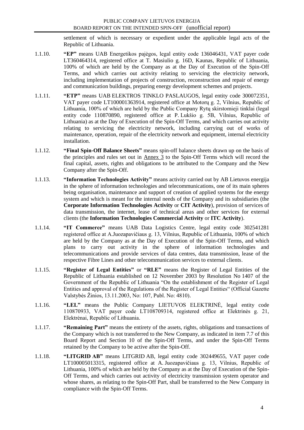settlement of which is necessary or expedient under the applicable legal acts of the Republic of Lithuania.

- 1.1.10. **"EP"** means UAB Energetikos pajėgos, legal entity code 136046431, VAT payer code LT360464314, registered office at T. Masiulio g. 16D, Kaunas, Republic of Lithuania, 100% of which are held by the Company as at the Day of Execution of the Spin-Off Terms, and which carries out activity relating to servicing the electricity network, including implementation of projects of construction, reconstruction and repair of energy and communication buildings, preparing energy development schemes and projects.
- 1.1.11. **"ETP"** means UAB ELEKTROS TINKLO PASLAUGOS, legal entity code 300072351, VAT payer code LT100001363914, registered office at Motorų g. 2, Vilnius, Republic of Lithuania, 100% of which are held by the Public Company Rytų skirstomieji tinklai (legal entity code 110870890, registered office at P. Lukšio g. 5B, Vilnius, Republic of Lithuania) as at the Day of Execution of the Spin-Off Terms, and which carries out activity relating to servicing the electricity network, including carrying out of works of maintenance, operation, repair of the electricity network and equipment, internal electricity installation.
- 1.1.12. **"Final Spin-Off Balance Sheets"** means spin-off balance sheets drawn up on the basis of the principles and rules set out in Annex 3 to the Spin-Off Terms which will record the final capital, assets, rights and obligations to be attributed to the Company and the New Company after the Spin-Off.
- 1.1.13. **"Information Technologies Activity"** means activity carried out by AB Lietuvos energija in the sphere of information technologies and telecommunications, one of its main spheres being organisation, maintenance and support of creation of applied systems for the energy system and which is meant for the internal needs of the Company and its subsidiaries (the **Corporate Information Technologies Activity** or **CIT Activity**), provision of services of data transmission, the internet, lease of technical areas and other services for external clients (the **Information Technologies Commercial Activity** or **ITC Activity**).
- 1.1.14. **"IT Commerce"** means UAB Data Logistics Centre, legal entity code 302541281 registered office at A.Juozapavičiaus g. 13, Vilnius, Republic of Lithuania, 100% of which are held by the Company as at the Day of Execution of the Spin-Off Terms, and which plans to carry out activity in the sphere of information technologies and telecommunications and provide services of data centres, data transmission, lease of the respective Fibre Lines and other telecommunication services to external clients.
- 1.1.15. **"Register of Legal Entities"** or **"RLE"** means the Register of Legal Entities of the Republic of Lithuania established on 12 November 2003 by Resolution No 1407 of the Government of the Republic of Lithuania "On the establishment of the Register of Legal Entities and approval of the Regulations of the Register of Legal Entities" (Official Gazette Valstybės Žinios, 13.11.2003, No: 107, Publ. No: 4810).
- 1.1.16. **"LEL"** means the Public Company LIETUVOS ELEKTRINĖ, legal entity code 110870933, VAT payer code LT108709314, registered office at Elektrinės g. 21, Elektrėnai, Republic of Lithuania.
- 1.1.17. **"Remaining Part"** means the entirety of the assets, rights, obligations and transactions of the Company which is not transferred to the New Company, as indicated in item 7.7 of this Board Report and Section 10 of the Spin-Off Terms, and under the Spin-Off Terms retained by the Company to be active after the Spin-Off.
- 1.1.18. **"LITGRID AB"** means LITGRID AB, legal entity code 302449655, VAT payer code LT100005013315, registered office at A. Juozapavičiaus g. 13, Vilnius, Republic of Lithuania, 100% of which are held by the Company as at the Day of Execution of the Spin-Off Terms, and which carries out activity of electricity transmission system operator and whose shares, as relating to the Spin-Off Part, shall be transferred to the New Company in compliance with the Spin-Off Terms.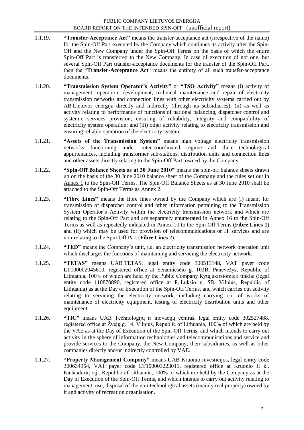- 1.1.19. **"Transfer-Acceptance Act"** means the transfer-acceptance act (irrespective of the name) for the Spin-Off Part executed by the Company which continues its activity after the Spin-Off and the New Company under the Spin-Off Terms on the basis of which the entire Spin-Off Part is transferred to the New Company. In case of execution of not one, but several Spin-Off Part transfer-acceptance documents for the transfer of the Spin-Off Part, then the "**Transfer-Acceptance Act**" means the entirety of all such transfer-acceptance documents.
- 1.1.20. **"Transmission System Operator's Activity"** or **"TSO Activity"** means (i) activity of management, operation, development, technical maintenance and repair of electricity transmission networks and connection lines with other electricity systems carried out by AB Lietuvos energija directly and indirectly (through its subsidiaries); (ii) as well as activity relating to performance of functions of national balancing, dispatcher control and systemic services provision; ensuring of reliability, integrity and compatibility of electricity system operation; and (iii) other activity relating to electricity transmission and ensuring reliable operation of the electricity system.
- 1.1.21. **"Assets of the Transmission System"** means high voltage electricity transmission networks functioning under inter-coordinated regime and their technological appurtenances, including transformer sub-stations, distribution units and connection lines and other assets directly relating to the Spin-Off Part, owned by the Company.
- 1.1.22. **"Spin-Off Balance Sheets as at 30 June 2010"** means the spin-off balance sheets drawn up on the basis of the 30 June 2010 balance sheet of the Company and the rules set out in Annex 1 to the Spin-Off Terms. The Spin-Off Balance Sheets as at 30 June 2010 shall be attached to the Spin-Off Terms as Annex 2.
- 1.1.23. **"Fibre Lines"** means the fibre lines owned by the Company which are (i) meant for transmission of dispatcher control and other information pertaining to the Transmission System Operator"s Activity within the electricity transmission network and which are relating to the Spin-Off Part and are separately enumerated in Annex 16 to the Spin-Off Terms as well as repeatedly indicated in Annex 10 to the Spin-Off Terms (**Fibre Lines 1**) and (ii) which may be used for provision of telecommunications or IT services and are non-relating to the Spin-Off Part (**Fibre Lines 2**).
- 1.1.24. **"TED"** means the Company"s unit, i.e. an electricity transmission network operation unit which discharges the functions of maintaining and servicing the electricity network.
- 1.1.25. **"TETAS"** means UAB TETAS, legal entity code 300513148, VAT payer code LT100002045610, registered office at Senamiesčio g. 102B, Panevėžys, Republic of Lithuania, 100% of which are held by the Public Company Rytų skirstomieji tinklai (legal entity code 110870890, registered office at P. Lukšio g. 5B, Vilnius, Republic of Lithuania) as at the Day of Execution of the Spin-Off Terms, and which carries out activity relating to servicing the electricity network, including carrying out of works of maintenance of electricity equipment, testing of electricity distribution units and other equipment.
- 1.1.26. **"TIC"** means UAB Technologijų ir inovacijų centras, legal entity code 302527488, registered office at Žvejų g. 14, Vilnius, Republic of Lithuania, 100% of which are held by the VAE as at the Day of Execution of the Spin-Off Terms, and which intends to carry out activity in the sphere of information technologies and telecommunications and service and provide services to the Company, the New Company, their subsidiaries, as well as other companies directly and/or indirectly controlled by VAE.
- 1.1.27. **"Property Management Company"** means UAB Kruonio investicijos, legal entity code 300634954, VAT payer code LT100003223011, registered office at Kruonio II k., Kaišiadorių raj., Republic of Lithuania, 100% of which are held by the Company as at the Day of Execution of the Spin-Off Terms, and which intends to carry out activity relating to management, use, disposal of the non-technological assets (mainly real property) owned by it and activity of recreation organisation.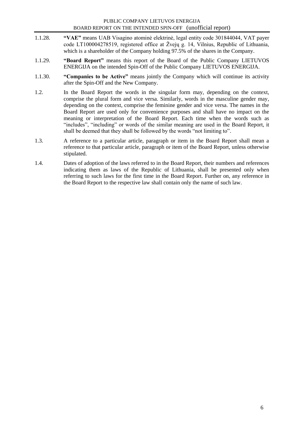- 1.1.28. **"VAE"** means UAB Visagino atominė elektrinė, legal entity code 301844044, VAT payer code LT100004278519, registered office at Žvejų g. 14, Vilnius, Republic of Lithuania, which is a shareholder of the Company holding 97.5% of the shares in the Company.
- 1.1.29. **"Board Report"** means this report of the Board of the Public Company LIETUVOS ENERGIJA on the intended Spin-Off of the Public Company LIETUVOS ENERGIJA.
- 1.1.30. **"Companies to be Active"** means jointly the Company which will continue its activity after the Spin-Off and the New Company.
- 1.2. In the Board Report the words in the singular form may, depending on the context, comprise the plural form and vice versa. Similarly, words in the masculine gender may, depending on the context, comprise the feminine gender and vice versa. The names in the Board Report are used only for convenience purposes and shall have no impact on the meaning or interpretation of the Board Report. Each time when the words such as "includes", "including" or words of the similar meaning are used in the Board Report, it shall be deemed that they shall be followed by the words "not limiting to".
- 1.3. A reference to a particular article, paragraph or item in the Board Report shall mean a reference to that particular article, paragraph or item of the Board Report, unless otherwise stipulated.
- 1.4. Dates of adoption of the laws referred to in the Board Report, their numbers and references indicating them as laws of the Republic of Lithuania, shall be presented only when referring to such laws for the first time in the Board Report. Further on, any reference in the Board Report to the respective law shall contain only the name of such law.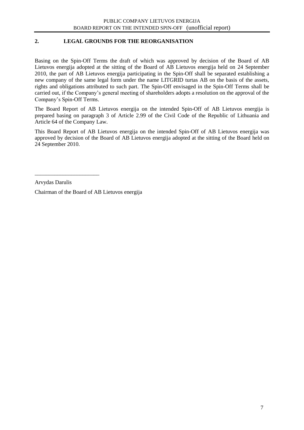#### **2. LEGAL GROUNDS FOR THE REORGANISATION**

Basing on the Spin-Off Terms the draft of which was approved by decision of the Board of AB Lietuvos energija adopted at the sitting of the Board of AB Lietuvos energija held on 24 September 2010, the part of AB Lietuvos energija participating in the Spin-Off shall be separated establishing a new company of the same legal form under the name LITGRID turtas AB on the basis of the assets, rights and obligations attributed to such part. The Spin-Off envisaged in the Spin-Off Terms shall be carried out, if the Company"s general meeting of shareholders adopts a resolution on the approval of the Company"s Spin-Off Terms.

The Board Report of AB Lietuvos energija on the intended Spin-Off of AB Lietuvos energija is prepared basing on paragraph 3 of Article 2.99 of the Civil Code of the Republic of Lithuania and Article 64 of the Company Law.

This Board Report of AB Lietuvos energija on the intended Spin-Off of AB Lietuvos energija was approved by decision of the Board of AB Lietuvos energija adopted at the sitting of the Board held on 24 September 2010.

Arvydas Darulis

\_\_\_\_\_\_\_\_\_\_\_\_\_\_\_\_\_\_\_\_\_\_\_

Chairman of the Board of AB Lietuvos energija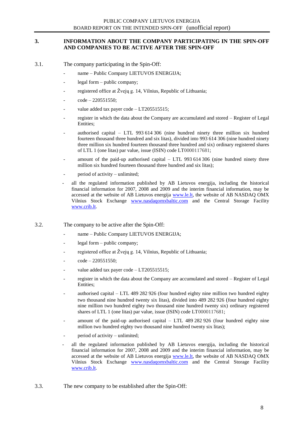#### **3. INFORMATION ABOUT THE COMPANY PARTICIPATING IN THE SPIN-OFF AND COMPANIES TO BE ACTIVE AFTER THE SPIN-OFF**

- 3.1. The company participating in the Spin-Off:
	- name Public Company LIETUVOS ENERGIJA;
	- legal form public company;
	- registered office at Žvejų g. 14, Vilnius, Republic of Lithuania;
	- $code 220551550;$
	- value added tax payer code  $-LT205515515$ ;
	- register in which the data about the Company are accumulated and stored Register of Legal Entities;
	- authorised capital  $-$  LTL 993 614 306 (nine hundred ninety three million six hundred fourteen thousand three hundred and six litas), divided into 993 614 306 (nine hundred ninety three million six hundred fourteen thousand three hundred and six) ordinary registered shares of LTL 1 (one litas) par value, issue (ISIN) code LT0000117681;
	- amount of the paid-up authorised capital  $-$  LTL 993 614 306 (nine hundred ninety three million six hundred fourteen thousand three hundred and six litas);
	- period of activity unlimited;
	- all the regulated information published by AB Lietuvos energija, including the historical financial information for 2007, 2008 and 2009 and the interim financial information, may be accessed at the website of AB Lietuvos energija [www.le.lt,](http://www.le.lt/) the website of AB NASDAQ OMX Vilnius Stock Exchange [www.nasdaqomxbaltic.com](http://www.nasdaqomxbaltic.com/) and the Central Storage Facility [www.crib.lt.](http://www.crib.lt/)

3.2. The company to be active after the Spin-Off:

- name Public Company LIETUVOS ENERGIJA;
- legal form public company;
- registered office at Žvejų g. 14, Vilnius, Republic of Lithuania;
- $code 220551550$ ;
- value added tax payer code  $-LT205515515$ ;
- register in which the data about the Company are accumulated and stored Register of Legal Entities;
- authorised capital LTL 489 282 926 (four hundred eighty nine million two hundred eighty two thousand nine hundred twenty six litas), divided into 489 282 926 (four hundred eighty nine million two hundred eighty two thousand nine hundred twenty six) ordinary registered shares of LTL 1 (one litas) par value, issue (ISIN) code LT0000117681;
- amount of the paid-up authorised capital  $-$  LTL 489 282 926 (four hundred eighty nine million two hundred eighty two thousand nine hundred twenty six litas);
- period of activity unlimited;
- all the regulated information published by AB Lietuvos energija, including the historical financial information for 2007, 2008 and 2009 and the interim financial information, may be accessed at the website of AB Lietuvos energija [www.le.lt,](http://www.le.lt/) the website of AB NASDAQ OMX Vilnius Stock Exchange [www.nasdaqomxbaltic.com](http://www.nasdaqomxbaltic.com/) and the Central Storage Facility [www.crib.lt.](http://www.crib.lt/)
- 3.3. The new company to be established after the Spin-Off: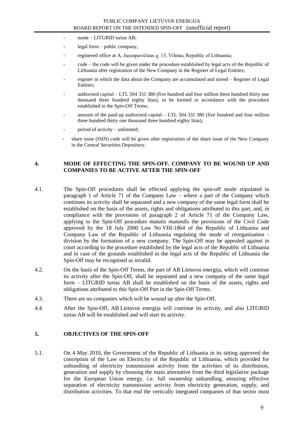- name LITGRID turtas AB;
- legal form public company;
- registered office at A. Juozapavičiaus g. 13, Vilnius, Republic of Lithuania;
- code the code will be given under the procedure established by legal acts of the Republic of Lithuania after registration of the New Company in the Register of Legal Entities;
- register in which the data about the Company are accumulated and stored Register of Legal Entities;
- authorised capital LTL 504 331 380 (five hundred and four million three hundred thirty one thousand three hundred eighty litas), to be formed in accordance with the procedure established in the Spin-Off Terms;
- amount of the paid-up authorised capital LTL 504 331 380 (five hundred and four million three hundred thirty one thousand three hundred eighty litas);
- period of activity unlimited;
- share issue (ISIN) code will be given after registration of the share issue of the New Company in the Central Securities Depository.

#### **4. MODE OF EFFECTING THE SPIN-OFF. COMPANY TO BE WOUND UP AND COMPANIES TO BE ACTIVE AFTER THE SPIN-OFF**

- 4.1. The Spin-Off procedures shall be effected applying the spin-off mode stipulated in paragraph 1 of Article 71 of the Company Law – where a part of the Company which continues its activity shall be separated and a new company of the same legal form shall be established on the basis of the assets, rights and obligations attributed to this part, and, in compliance with the provisions of paragraph 2 of Article 71 of the Company Law, applying to the Spin-Off procedure *mutatis mutandis* the provisions of the Civil Code approved by the 18 July 2000 Law No VIII-1864 of the Republic of Lithuania and Company Law of the Republic of Lithuania regulating the mode of reorganisation division by the formation of a new company. The Spin-Off may be appealed against in court according to the procedure established by the legal acts of the Republic of Lithuania and in case of the grounds established in the legal acts of the Republic of Lithuania the Spin-Off may be recognised as invalid.
- 4.2. On the basis of the Spin-Off Terms, the part of AB Lietuvos energija, which will continue its activity after the Spin-Off, shall be separated and a new company of the same legal form – LITGRID turtas AB shall be established on the basis of the assets, rights and obligations attributed to this Spin-Off Part in the Spin-Off Terms.
- 4.3. There are no companies which will be wound up after the Spin-Off.
- 4.4. After the Spin-Off, AB Lietuvos energija will continue its activity, and also LITGRID turtas AB will be established and will start its activity.

#### **5. OBJECTIVES OF THE SPIN-OFF**

5.1. On 4 May 2010, the Government of the Republic of Lithuania in its sitting approved the conception of the Law on Electricity of the Republic of Lithuania, which provided for unbundling of electricity transmission activity from the activities of its distribution, generation and supply by choosing the main alternative from the third legislative package for the European Union energy, i.e. full ownership unbundling, ensuring effective separation of electricity transmission activity from electricity generation, supply, and distribution activities. To that end the vertically integrated companies of that sector must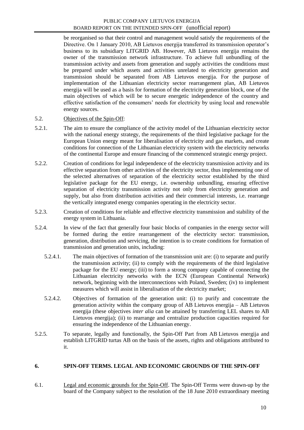be reorganised so that their control and management would satisfy the requirements of the Directive. On 1 January 2010, AB Lietuvos energija transferred its transmission operator"s business to its subsidiary LITGRID AB. However, AB Lietuvos energija remains the owner of the transmission network infrastructure. To achieve full unbundling of the transmission activity and assets from generation and supply activities the conditions must be prepared under which assets and activities unrelated to electricity generation and transmission should be separated from AB Lietuvos energija. For the purpose of implementation of the Lithuanian electricity sector rearrangement plan, AB Lietuvos energija will be used as a basis for formation of the electricity generation block, one of the main objectives of which will be to secure energetic independence of the country and effective satisfaction of the consumers" needs for electricity by using local and renewable energy sources.

#### 5.2. Objectives of the Spin-Off:

- 5.2.1. The aim to ensure the compliance of the activity model of the Lithuanian electricity sector with the national energy strategy, the requirements of the third legislative package for the European Union energy meant for liberalisation of electricity and gas markets, and create conditions for connection of the Lithuanian electricity system with the electricity networks of the continental Europe and ensure financing of the commenced strategic energy project.
- 5.2.2. Creation of conditions for legal independence of the electricity transmission activity and its effective separation from other activities of the electricity sector, thus implementing one of the selected alternatives of separation of the electricity sector established by the third legislative package for the EU energy, i.e. ownership unbundling, ensuring effective separation of electricity transmission activity not only from electricity generation and supply, but also from distribution activities and their commercial interests, i.e. rearrange the vertically integrated energy companies operating in the electricity sector.
- 5.2.3. Creation of conditions for reliable and effective electricity transmission and stability of the energy system in Lithuania.
- 5.2.4. In view of the fact that generally four basic blocks of companies in the energy sector will be formed during the entire rearrangement of the electricity sector: transmission, generation, distribution and servicing, the intention is to create conditions for formation of transmission and generation units, including:
	- 5.2.4.1. The main objectives of formation of the transmission unit are: (i) to separate and purify the transmission activity; (ii) to comply with the requirements of the third legislative package for the EU energy; (iii) to form a strong company capable of connecting the Lithuanian electricity networks with the ECN (European Continental Network) network, beginning with the interconnections with Poland, Sweden; (iv) to implement measures which will assist in liberalisation of the electricity market;
	- 5.2.4.2. Objectives of formation of the generation unit: (i) to purify and concentrate the generation activity within the company group of AB Lietuvos energija – AB Lietuvos energija (these objectives *inter alia* can be attained by transferring LEL shares to AB Lietuvos energija); (ii) to rearrange and centralize production capacities required for ensuring the independence of the Lithuanian energy.
- 5.2.5. To separate, legally and functionally, the Spin-Off Part from AB Lietuvos energija and establish LITGRID turtas AB on the basis of the assets, rights and obligations attributed to it.

#### **6. SPIN-OFF TERMS. LEGAL AND ECONOMIC GROUNDS OF THE SPIN-OFF**

6.1. Legal and economic grounds for the Spin-Off. The Spin-Off Terms were drawn-up by the board of the Company subject to the resolution of the 18 June 2010 extraordinary meeting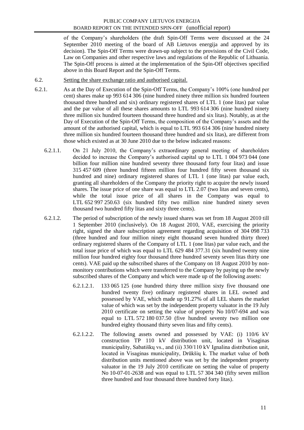of the Company"s shareholders (the draft Spin-Off Terms were discussed at the 24 September 2010 meeting of the board of AB Lietuvos energija and approved by its decision). The Spin-Off Terms were drawn-up subject to the provisions of the Civil Code, Law on Companies and other respective laws and regulations of the Republic of Lithuania. The Spin-Off process is aimed at the implementation of the Spin-Off objectives specified above in this Board Report and the Spin-Off Terms.

- 6.2. Setting the share exchange ratio and authorised capital.
- 6.2.1. As at the Day of Execution of the Spin-Off Terms, the Company"s 100% (one hundred per cent) shares make up 993 614 306 (nine hundred ninety three million six hundred fourteen thousand three hundred and six) ordinary registered shares of LTL 1 (one litas) par value and the par value of all these shares amounts to LTL 993 614 306 (nine hundred ninety three million six hundred fourteen thousand three hundred and six litas). Notably, as at the Day of Execution of the Spin-Off Terms, the composition of the Company"s assets and the amount of the authorised capital, which is equal to LTL 993 614 306 (nine hundred ninety three million six hundred fourteen thousand three hundred and six litas), are different from those which existed as at 30 June 2010 due to the below indicated reasons:
	- 6.2.1.1. On 21 July 2010, the Company"s extraordinary general meeting of shareholders decided to increase the Company"s authorised capital up to LTL 1 004 973 044 (one billion four million nine hundred seventy three thousand forty four litas) and issue 315 457 609 (three hundred fifteen million four hundred fifty seven thousand six hundred and nine) ordinary registered shares of LTL 1 (one litas) par value each, granting all shareholders of the Company the priority right to acquire the newly issued shares. The issue price of one share was equal to LTL 2.07 (two litas and seven cents), while the total issue price of all shares in the Company was equal to LTL 652 997 250.63 (six hundred fifty two million nine hundred ninety seven thousand two hundred fifty litas and sixty three cents).
	- 6.2.1.2. The period of subscription of the newly issued shares was set from 18 August 2010 till 1 September 2010 (inclusively). On 18 August 2010, VAE, exercising the priority right, signed the share subscription agreement regarding acquisition of 304 098 733 (three hundred and four million ninety eight thousand seven hundred thirty three) ordinary registered shares of the Company of LTL 1 (one litas) par value each, and the total issue price of which was equal to LTL 629 484 377.31 (six hundred twenty nine million four hundred eighty four thousand three hundred seventy seven litas thirty one cents). VAE paid up the subscribed shares of the Company on 18 August 2010 by nonmonitory contributions which were transferred to the Company by paying up the newly subscribed shares of the Company and which were made up of the following assets:
		- 6.2.1.2.1. 133 065 125 (one hundred thirty three million sixty five thousand one hundred twenty five) ordinary registered shares in LEL owned and possessed by VAE, which made up 91.27% of all LEL shares the market value of which was set by the independent property valuator in the 19 July 2010 certificate on setting the value of property No 10/07-694 and was equal to LTL 572 180 037.50 (five hundred seventy two million one hundred eighty thousand thirty seven litas and fifty cents).
		- 6.2.1.2.2. The following assets owned and possessed by VAE: (i) 110/6 kV construction TP 110 kV distribution unit, located in Visaginas municipality, Sabatiškų vs., and (ii) 330/110 kV Ignalina distribution unit, located in Visaginas municipality, Drūkšių k. The market value of both distribution units mentioned above was set by the independent property valuator in the 19 July 2010 certificate on setting the value of property No 10-07-01-2638 and was equal to LTL 57 304 340 (fifty seven million three hundred and four thousand three hundred forty litas).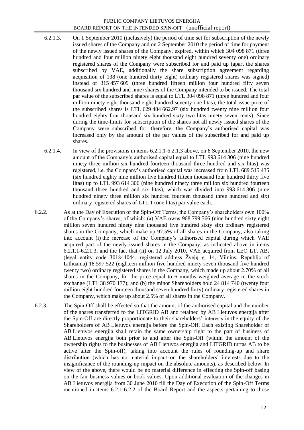- 6.2.1.3. On 1 September 2010 (inclusively) the period of time set for subscription of the newly issued shares of the Company and on 2 September 2010 the period of time for payment of the newly issued shares of the Company, expired, within which 304 098 871 (three hundred and four million ninety eight thousand eight hundred seventy one) ordinary registered shares of the Company were subscribed for and paid up (apart the shares subscribed by VAE, additionally the share subscription agreement regarding acquisition of 138 (one hundred thirty eight) ordinary registered shares was signed) instead of 315 457 609 (three hundred fifteen million four hundred fifty seven thousand six hundred and nine) shares of the Company intended to be issued. The total par value of the subscribed shares is equal to LTL 304 098 871 (three hundred and four million ninety eight thousand eight hundred seventy one litas), the total issue price of the subscribed shares is LTL 629 484 662.97 (six hundred twenty nine million four hundred eighty four thousand six hundred sixty two litas ninety seven cents). Since during the time-limits for subscription of the shares not all newly issued shares of the Company were subscribed for, therefore, the Company's authorised capital was increased only by the amount of the par values of the subscribed for and paid up shares.
- 6.2.1.4. In view of the provisions in items 6.2.1.1-6.2.1.3 above, on 8 September 2010, the new amount of the Company"s authorised capital equal to LTL 993 614 306 (nine hundred ninety three million six hundred fourteen thousand three hundred and six litas) was registered, i.e. the Company"s authorised capital was increased from LTL 689 515 435 (six hundred eighty nine million five hundred fifteen thousand four hundred thirty five litas) up to LTL 993 614 306 (nine hundred ninety three million six hundred fourteen thousand three hundred and six litas), which was divided into 993 614 306 (nine hundred ninety three million six hundred fourteen thousand three hundred and six) ordinary registered shares of LTL 1 (one litas) par value each.
- 6.2.2. As at the Day of Execution of the Spin-Off Terms, the Company"s shareholders own 100% of the Company"s shares, of which: (a) VAE owns 968 799 566 (nine hundred sixty eight million seven hundred ninety nine thousand five hundred sixty six) ordinary registered shares in the Company, which make up 97.5% of all shares in the Company, also taking into account (i) the increase of the Company's authorised capital during which VAE acquired part of the newly issued shares in the Company, as indicated above in items 6.2.1.1-6.2.1.3, and the fact that (ii) on 12 July 2010, VAE acquired from LEO LT, AB, (legal entity code 301844044, registered address Žvejų g. 14, Vilnius, Republic of Lithuania) 18 597 522 (eighteen million five hundred ninety seven thousand five hundred twenty two) ordinary registered shares in the Company, which made up about 2.70% of all shares in the Company, for the price equal to 6 months weighted average in the stock exchange (LTL 38 970 177); and (b) the minor Shareholders hold 24 814 740 (twenty four million eight hundred fourteen thousand seven hundred forty) ordinary registered shares in the Company, which make up about 2.5% of all shares in the Company.
- 6.2.3. The Spin-Off shall be effected so that the amount of the authorised capital and the number of the shares transferred to the LITGRID AB and retained by AB Lietuvos energija after the Spin-Off are directly proportionate to their shareholders" interests in the equity of the Shareholders of AB Lietuvos energija before the Spin-Off. Each existing Shareholder of AB Lietuvos energija shall retain the same ownership right to the part of business of AB Lietuvos energija both prior to and after the Spin-Off (within the amount of the ownership rights to the businesses of AB Lietuvos energija and LITGRID turtas AB to be active after the Spin-off), taking into account the rules of rounding-up and share distribution (which has no material impact on the shareholders" interests due to the insignificance of the rounding-up impact on the absolute amounts), as described below. In view of the above, there would be no material difference in effecting the Spin-off basing on the fair business values or book values. Upon additional evaluation of the changes in AB Lietuvos energija from 30 June 2010 till the Day of Execution of the Spin-Off Terms mentioned in items 6.2.1-6.2.2 of the Board Report and the aspects pertaining to those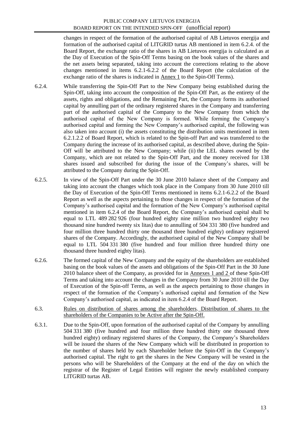changes in respect of the formation of the authorised capital of AB Lietuvos energija and formation of the authorised capital of LITGRID turtas AB mentioned in item 6.2.4. of the Board Report, the exchange ratio of the shares in AB Lietuvos energija is calculated as at the Day of Execution of the Spin-Off Terms basing on the book values of the shares and the net assets being separated, taking into account the corrections relating to the above changes mentioned in items 6.2.1-6.2.2 of the Board Report (the calculation of the exchange ratio of the shares is indicated in Annex 1 to the Spin-Off Terms).

- 6.2.4. While transferring the Spin-Off Part to the New Company being established during the Spin-Off, taking into account the composition of the Spin-Off Part, as the entirety of the assets, rights and obligations, and the Remaining Part, the Company forms its authorised capital by annulling part of the ordinary registered shares in the Company and transferring part of the authorised capital of the Company to the New Company from which the authorised capital of the New Company is formed. While forming the Company"s authorised capital and forming the New Company"s authorised capital, the following was also taken into account (i) the assets constituting the distribution units mentioned in item 6.2.1.2.2 of Board Report, which is related to the Spin-off Part and was transferred to the Company during the increase of its authorised capital, as described above, during the Spin-Off will be attributed to the New Company; while (ii) the LEL shares owned by the Company, which are not related to the Spin-Off Part, and the money received for 138 shares issued and subscribed for during the issue of the Company"s shares, will be attributed to the Company during the Spin-Off.
- 6.2.5. In view of the Spin-Off Part under the 30 June 2010 balance sheet of the Company and taking into account the changes which took place in the Company from 30 June 2010 till the Day of Execution of the Spin-Off Terms mentioned in items 6.2.1-6.2.2 of the Board Report as well as the aspects pertaining to those changes in respect of the formation of the Company"s authorised capital and the formation of the New Company"s authorised capital mentioned in item 6.2.4 of the Board Report, the Company"s authorised capital shall be equal to LTL 489 282 926 (four hundred eighty nine million two hundred eighty two thousand nine hundred twenty six litas) due to annulling of 504 331 380 (five hundred and four million three hundred thirty one thousand three hundred eighty) ordinary registered shares of the Company. Accordingly, the authorised capital of the New Company shall be equal to LTL 504 331 380 (five hundred and four million three hundred thirty one thousand three hundred eighty litas).
- 6.2.6. The formed capital of the New Company and the equity of the shareholders are established basing on the book values of the assets and obligations of the Spin-Off Part in the 30 June 2010 balance sheet of the Company, as provided for in Annexes 1 and 2 of these Spin-Off Terms and taking into account the changes in the Company from 30 June 2010 till the Day of Execution of the Spin-off Terms, as well as the aspects pertaining to those changes in respect of the formation of the Company"s authorised capital and formation of the New Company"s authorised capital, as indicated in item 6.2.4 of the Board Report.
- 6.3. Rules on distribution of shares among the shareholders. Distribution of shares to the shareholders of the Companies to be Active after the Spin-Off.
- 6.3.1. Due to the Spin-Off, upon formation of the authorised capital of the Company by annulling 504 331 380 (five hundred and four million three hundred thirty one thousand three hundred eighty) ordinary registered shares of the Company, the Company"s Shareholders will be issued the shares of the New Company which will be distributed in proportion to the number of shares held by each Shareholder before the Spin-Off in the Company"s authorised capital. The right to get the shares in the New Company will be vested in the persons who will be Shareholders of the Company at the end of the day on which the registrar of the Register of Legal Entities will register the newly established company LITGRID turtas AB.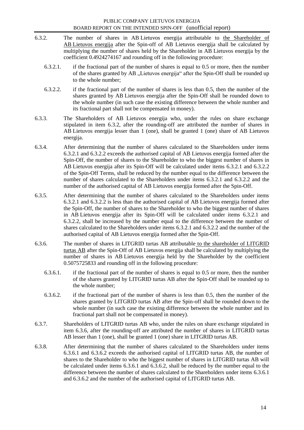- 6.3.2. The number of shares in AB Lietuvos energija attributable to the Shareholder of AB Lietuvos energija after the Spin-off of AB Lietuvos energija shall be calculated by multiplying the number of shares held by the Shareholder in AB Lietuvos energija by the coefficient 0.4924274167 and rounding off in the following procedure:
	- 6.3.2.1. if the fractional part of the number of shares is equal to 0.5 or more, then the number of the shares granted by AB "Lietuvos energija" after the Spin-Off shall be rounded up to the whole number;
	- 6.3.2.2. if the fractional part of the number of shares is less than 0.5, then the number of the shares granted by AB Lietuvos energija after the Spin-Off shall be rounded down to the whole number (in such case the existing difference between the whole number and its fractional part shall not be compensated in money).
- 6.3.3. The Shareholders of AB Lietuvos energija who, under the rules on share exchange stipulated in item 6.3.2, after the rounding-off are attributed the number of shares in AB Lietuvos energija lesser than 1 (one), shall be granted 1 (one) share of AB Lietuvos energija.
- 6.3.4. After determining that the number of shares calculated to the Shareholders under items 6.3.2.1 and 6.3.2.2 exceeds the authorised capital of AB Lietuvos energija formed after the Spin-Off, the number of shares to the Shareholder to who the biggest number of shares in AB Lietuvos energija after its Spin-Off will be calculated under items 6.3.2.1 and 6.3.2.2 of the Spin-Off Terms, shall be reduced by the number equal to the difference between the number of shares calculated to the Shareholders under items 6.3.2.1 and 6.3.2.2 and the number of the authorised capital of AB Lietuvos energija formed after the Spin-Off.
- 6.3.5. After determining that the number of shares calculated to the Shareholders under items 6.3.2.1 and 6.3.2.2 is less than the authorised capital of AB Lietuvos energija formed after the Spin-Off, the number of shares to the Shareholder to who the biggest number of shares in AB Lietuvos energija after its Spin-Off will be calculated under items 6.3.2.1 and 6.3.2.2, shall be increased by the number equal to the difference between the number of shares calculated to the Shareholders under items 6.3.2.1 and 6.3.2.2 and the number of the authorised capital of AB Lietuvos energija formed after the Spin-Off.
- 6.3.6. The number of shares in LITGRID turtas AB attributable to the shareholder of LITGRID turtas AB after the Spin-Off of AB Lietuvos energija shall be calculated by multiplying the number of shares in AB Lietuvos energija held by the Shareholder by the coefficient 0.5075725833 and rounding off in the following procedure:
	- 6.3.6.1. if the fractional part of the number of shares is equal to 0.5 or more, then the number of the shares granted by LITGRID turtas AB after the Spin-Off shall be rounded up to the whole number;
	- 6.3.6.2. if the fractional part of the number of shares is less than 0.5, then the number of the shares granted by LITGRID turtas AB after the Spin-off shall be rounded down to the whole number (in such case the existing difference between the whole number and its fractional part shall not be compensated in money).
- 6.3.7. Shareholders of LITGRID turtas AB who, under the rules on share exchange stipulated in item 6.3.6, after the rounding-off are attributed the number of shares in LITGRID turtas AB lesser than 1 (one), shall be granted 1 (one) share in LITGRID turtas AB.
- 6.3.8. After determining that the number of shares calculated to the Shareholders under items 6.3.6.1 and 6.3.6.2 exceeds the authorised capital of LITGRID turtas AB, the number of shares to the Shareholder to who the biggest number of shares in LITGRID turtas AB will be calculated under items 6.3.6.1 and 6.3.6.2, shall be reduced by the number equal to the difference between the number of shares calculated to the Shareholders under items 6.3.6.1 and 6.3.6.2 and the number of the authorised capital of LITGRID turtas AB.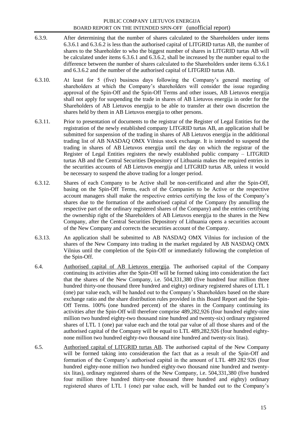- 6.3.9. After determining that the number of shares calculated to the Shareholders under items 6.3.6.1 and 6.3.6.2 is less than the authorised capital of LITGRID turtas AB, the number of shares to the Shareholder to who the biggest number of shares in LITGRID turtas AB will be calculated under items 6.3.6.1 and 6.3.6.2, shall be increased by the number equal to the difference between the number of shares calculated to the Shareholders under items 6.3.6.1 and 6.3.6.2 and the number of the authorised capital of LITGRID turtas AB.
- 6.3.10. At least for 5 (five) business days following the Company"s general meeting of shareholders at which the Company"s shareholders will consider the issue regarding approval of the Spin-Off and the Spin-Off Terms and other issues, AB Lietuvos energija shall not apply for suspending the trade in shares of AB Lietuvos energija in order for the Shareholders of AB Lietuvos energija to be able to transfer at their own discretion the shares held by them in AB Lietuvos energija to other persons.
- 6.3.11. Prior to presentation of documents to the registrar of the Register of Legal Entities for the registration of the newly established company LITGRID turtas AB, an application shall be submitted for suspension of the trading in shares of AB Lietuvos energija in the additional trading list of AB NASDAQ OMX Vilnius stock exchange. It is intended to suspend the trading in shares of AB Lietuvos energija until the day on which the registrar of the Register of Legal Entities registers the newly established public company – LITGRID turtas AB and the Central Securities Depository of Lithuania makes the required entries in the securities accounts of AB Lietuvos energija and LITGRID turtas AB, unless it would be necessary to suspend the above trading for a longer period.
- 6.3.12. Shares of each Company to be Active shall be non-certificated and after the Spin-Off, basing on the Spin-Off Terms, each of the Companies to be Active or the respective account managers shall make the respective entries certifying the loss of the Company"s shares due to the formation of the authorised capital of the Company (by annulling the respective part of the ordinary registered shares of the Company) and the entries certifying the ownership right of the Shareholders of AB Lietuvos energija to the shares in the New Company, after the Central Securities Depository of Lithuania opens a securities account of the New Company and corrects the securities account of the Company.
- 6.3.13. An application shall be submitted to AB NASDAQ OMX Vilnius for inclusion of the shares of the New Company into trading in the market regulated by AB NASDAQ OMX Vilnius until the completion of the Spin-Off or immediately following the completion of the Spin-Off.
- 6.4. Authorised capital of AB Lietuvos energija. The authorised capital of the Company continuing its activities after the Spin-Off will be formed taking into consideration the fact that the shares of the New Company, i.e. 504,331,380 (five hundred four million three hundred thirty-one thousand three hundred and eighty) ordinary registered shares of LTL 1 (one) par value each, will be handed out to the Company"s Shareholders based on the share exchange ratio and the share distribution rules provided in this Board Report and the Spin-Off Terms. 100% (one hundred percent) of the shares in the Company continuing its activities after the Spin-Off will therefore comprise 489,282,926 (four hundred eighty-nine million two hundred eighty-two thousand nine hundred and twenty-six) ordinary registered shares of LTL 1 (one) par value each and the total par value of all those shares and of the authorised capital of the Company will be equal to LTL 489,282,926 (four hundred eightynone million two hundred eighty-two thousand nine hundred and twenty-six litas).
- 6.5. Authorised capital of LITGRID turtas AB. The authorised capital of the New Company will be formed taking into consideration the fact that as a result of the Spin-Off and formation of the Company"s authorised capital in the amount of LTL 489 282 926 (four hundred eighty-none million two hundred eighty-two thousand nine hundred and twentysix litas), ordinary registered shares of the New Company, i.e. 504,331,380 (five hundred four million three hundred thirty-one thousand three hundred and eighty) ordinary registered shares of LTL 1 (one) par value each, will be handed out to the Company"s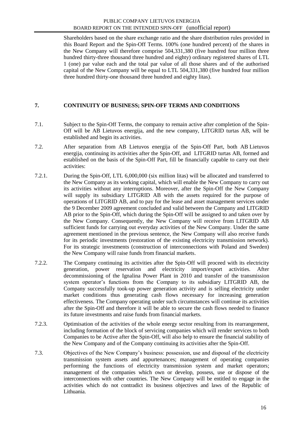Shareholders based on the share exchange ratio and the share distribution rules provided in this Board Report and the Spin-Off Terms. 100% (one hundred percent) of the shares in the New Company will therefore comprise 504,331,380 (five hundred four million three hundred thirty-three thousand three hundred and eighty) ordinary registered shares of LTL 1 (one) par value each and the total par value of all those shares and of the authorised capital of the New Company will be equal to LTL 504,331,380 (five hundred four million three hundred thirty-one thousand three hundred and eighty litas).

#### **7. CONTINUITY OF BUSINESS; SPIN-OFF TERMS AND CONDITIONS**

- 7.1. Subject to the Spin-Off Terms, the company to remain active after completion of the Spin-Off will be AB Lietuvos energija, and the new company, LITGRID turtas AB, will be established and begin its activities.
- 7.2. After separation from AB Lietuvos energija of the Spin-Off Part, both AB Lietuvos energija, continuing its activities after the Spin-Off, and LITGRID turtas AB, formed and established on the basis of the Spin-Off Part, fill be financially capable to carry out their activities:
- 7.2.1. During the Spin-Off, LTL 6,000,000 (six million litas) will be allocated and transferred to the New Company as its working capital, which will enable the New Company to carry out its activities without any interruptions. Moreover, after the Spin-Off the New Company will supply its subsidiary LITGRID AB with the assets required for the purpose of operations of LITGRID AB, and to pay for the lease and asset management services under the 9 December 2009 agreement concluded and valid between the Company and LITGRID AB prior to the Spin-Off, which during the Spin-Off will be assigned to and taken over by the New Company. Consequently, the New Company will receive from LITGRID AB sufficient funds for carrying out everyday activities of the New Company. Under the same agreement mentioned in the previous sentence, the New Company will also receive funds for its periodic investments (restoration of the existing electricity transmission network). For its strategic investments (construction of interconnections with Poland and Sweden) the New Company will raise funds from financial markets.
- 7.2.2. The Company continuing its activities after the Spin-Off will proceed with its electricity generation, power reservation and electricity import/export activities. After decommissioning of the Ignalina Power Plant in 2010 and transfer of the transmission system operator's functions from the Company to its subsidiary LITGRID AB, the Company successfully took-up power generation activity and is selling electricity under market conditions thus generating cash flows necessary for increasing generation effectiveness. The Company operating under such circumstances will continue its activities after the Spin-Off and therefore it will be able to secure the cash flows needed to finance its future investments and raise funds from financial markets.
- 7.2.3. Optimisation of the activities of the whole energy sector resulting from its rearrangement, including formation of the block of servicing companies which will render services to both Companies to be Active after the Spin-Off, will also help to ensure the financial stability of the New Company and of the Company continuing its activities after the Spin-Off.
- 7.3. Objectives of the New Company"s business: possession, use and disposal of the electricity transmission system assets and appurtenances; management of operating companies performing the functions of electricity transmission system and market operators; management of the companies which own or develop, possess, use or dispose of the interconnections with other countries. The New Company will be entitled to engage in the activities which do not contradict its business objectives and laws of the Republic of Lithuania.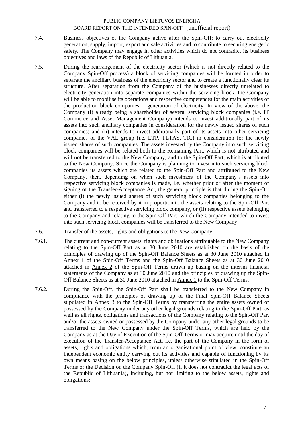- 7.4. Business objectives of the Company active after the Spin-Off: to carry out electricity generation, supply, import, export and sale activities and to contribute to securing energetic safety. The Company may engage in other activities which do not contradict its business objectives and laws of the Republic of Lithuania.
- 7.5. During the rearrangement of the electricity sector (which is not directly related to the Company Spin-Off process) a block of servicing companies will be formed in order to separate the ancillary business of the electricity sector and to create a functionally clear its structure. After separation from the Company of the businesses directly unrelated to electricity generation into separate companies within the servicing block, the Company will be able to mobilise its operations and respective competences for the main activities of the production block companies – generation of electricity. In view of the above, the Company (i) already being a shareholder of several servicing block companies (i.e. IT Commerce and Asset Management Company) intends to invest additionally part of its assets into such ancillary companies in consideration for the newly issued shares of such companies; and (ii) intends to invest additionally part of its assets into other servicing companies of the VAE group (i.e. ETP, TETAS, TIC) in consideration for the newly issued shares of such companies. The assets invested by the Company into such servicing block companies will be related both to the Remaining Part, which is not attributed and will not be transferred to the New Company, and to the Spin-Off Part, which is attributed to the New Company. Since the Company is planning to invest into such servicing block companies its assets which are related to the Spin-Off Part and attributed to the New Company, then, depending on when such investment of the Company"s assets into respective servicing block companies is made, i.e. whether prior or after the moment of signing of the Transfer-Acceptance Act, the general principle is that during the Spin-Off either (i) the newly issued shares of such servicing block companies belonging to the Company and to be received by it in proportion to the assets relating to the Spin-Off Part and transferred to a respective servicing block company, or (ii) respective assets belonging to the Company and relating to the Spin-Off Part, which the Company intended to invest into such servicing block companies will be transferred to the New Company.

#### 7.6. Transfer of the assets, rights and obligations to the New Company.

- 7.6.1. The current and non-current assets, rights and obligations attributable to the New Company relating to the Spin-Off Part as at 30 June 2010 are established on the basis of the principles of drawing up of the Spin-Off Balance Sheets as at 30 June 2010 attached in Annex 1 of the Spin-Off Terms and the Spin-Off Balance Sheets as at 30 June 2010 attached in Annex 2 of the Spin-Off Terms drawn up basing on the interim financial statements of the Company as at 30 June 2010 and the principles of drawing up the Spin-Off Balance Sheets as at 30 June 2010 attached in **Annex 1** to the Spin-Off Terms.
- 7.6.2. During the Spin-Off, the Spin-Off Part shall be transferred to the New Company in compliance with the principles of drawing up of the Final Spin-Off Balance Sheets stipulated in Annex 3 to the Spin-Off Terms by transferring the entire assets owned or possessed by the Company under any other legal grounds relating to the Spin-Off Part, as well as all rights, obligations and transactions of the Company relating to the Spin-Off Part and/or the assets owned or possessed by the Company under any other legal grounds to be transferred to the New Company under the Spin-Off Terms, which are held by the Company as at the Day of Execution of the Spin-Off Terms or may acquire until the day of execution of the Transfer-Acceptance Act, i.e. the part of the Company in the form of assets, rights and obligations which, from an organisational point of view, constitute an independent economic entity carrying out its activities and capable of functioning by its own means basing on the below principles, unless otherwise stipulated in the Spin-Off Terms or the Decision on the Company Spin-Off (if it does not contradict the legal acts of the Republic of Lithuania), including, but not limiting to the below assets, rights and obligations: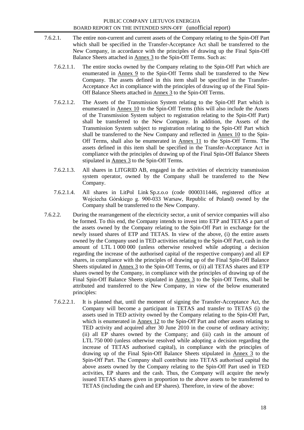- 7.6.2.1. The entire non-current and current assets of the Company relating to the Spin-Off Part which shall be specified in the Transfer-Acceptance Act shall be transferred to the New Company, in accordance with the principles of drawing up the Final Spin-Off Balance Sheets attached in Annex 3 to the Spin-Off Terms. Such as:
	- 7.6.2.1.1. The entire stocks owned by the Company relating to the Spin-Off Part which are enumerated in Annex 9 to the Spin-Off Terms shall be transferred to the New Company. The assets defined in this item shall be specified in the Transfer-Acceptance Act in compliance with the principles of drawing up of the Final Spin-Off Balance Sheets attached in Annex 3 to the Spin-Off Terms.
	- 7.6.2.1.2. The Assets of the Transmission System relating to the Spin-Off Part which is enumerated in Annex 10 to the Spin-Off Terms (this will also include the Assets of the Transmission System subject to registration relating to the Spin-Off Part) shall be transferred to the New Company. In addition, the Assets of the Transmission System subject to registration relating to the Spin-Off Part which shall be transferred to the New Company and reflected in Annex 10 to the Spin-Off Terms, shall also be enumerated in Annex 11 to the Spin-Off Terms. The assets defined in this item shall be specified in the Transfer-Acceptance Act in compliance with the principles of drawing up of the Final Spin-Off Balance Sheets stipulated in Annex 3 to the Spin-Off Terms.
	- 7.6.2.1.3. All shares in LITGRID AB, engaged in the activities of electricity transmission system operator, owned by the Company shall be transferred to the New Company.
	- 7.6.2.1.4. All shares in LitPol Link Sp.z.o.o (code 0000311446, registered office at Wojciecha Górskiego g. 900-033 Warsaw, Republic of Poland) owned by the Company shall be transferred to the New Company.
- 7.6.2.2. During the rearrangement of the electricity sector, a unit of service companies will also be formed. To this end, the Company intends to invest into ETP and TETAS a part of the assets owned by the Company relating to the Spin-Off Part in exchange for the newly issued shares of ETP and TETAS. In view of the above, (i) the entire assets owned by the Company used in TED activities relating to the Spin-Off Part, cash in the amount of LTL 1 000 000 (unless otherwise resolved while adopting a decision regarding the increase of the authorised capital of the respective company) and all EP shares, in compliance with the principles of drawing up of the Final Spin-Off Balance Sheets stipulated in Annex 3 to the Spin-Off Terms, or (ii) all TETAS shares and ETP shares owned by the Company, in compliance with the principles of drawing up of the Final Spin-Off Balance Sheets stipulated in Annex 3 to the Spin-Off Terms, shall be attributed and transferred to the New Company, in view of the below enumerated principles:
	- 7.6.2.2.1. It is planned that, until the moment of signing the Transfer-Acceptance Act, the Company will become a participant in TETAS and transfer to TETAS (i) the assets used in TED activity owned by the Company relating to the Spin-Off Part, which is enumerated in Annex 12 to the Spin-Off Part and other assets relating to TED activity and acquired after 30 June 2010 in the course of ordinary activity; (ii) all EP shares owned by the Company; and (iii) cash in the amount of LTL 750 000 (unless otherwise resolved while adopting a decision regarding the increase of TETAS authorised capital), in compliance with the principles of drawing up of the Final Spin-Off Balance Sheets stipulated in Annex 3 to the Spin-Off Part. The Company shall contribute into ТЕТАS authorised capital the above assets owned by the Company relating to the Spin-Off Part used in TED activities, EP shares and the cash. Thus, the Company will acquire the newly issued TETAS shares given in proportion to the above assets to be transferred to TETAS (including the cash and EP shares). Therefore, in view of the above: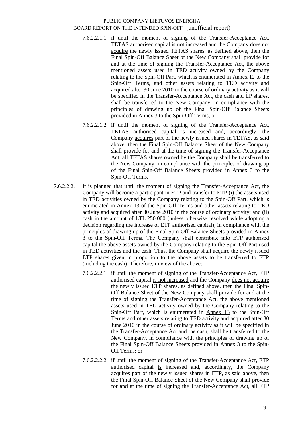- 7.6.2.2.1.1. if until the moment of signing of the Transfer-Acceptance Act, TETAS authorised capital is not increased and the Company does not acquire the newly issued TETAS shares, as defined above, then the Final Spin-Off Balance Sheet of the New Company shall provide for and at the time of signing the Transfer-Acceptance Act, the above mentioned assets used in TED activity owned by the Company relating to the Spin-Off Part, which is enumerated in Annex 12 to the Spin-Off Terms, and other assets relating to TED activity and acquired after 30 June 2010 in the course of ordinary activity as it will be specified in the Transfer-Acceptance Act, the cash and EP shares, shall be transferred to the New Company, in compliance with the principles of drawing up of the Final Spin-Off Balance Sheets provided in Annex 3 to the Spin-Off Terms; or
- 7.6.2.2.1.2. if until the moment of signing of the Transfer-Acceptance Act, TETAS authorised capital is increased and, accordingly, the Company acquires part of the newly issued shares in TETAS, as said above, then the Final Spin-Off Balance Sheet of the New Company shall provide for and at the time of signing the Transfer-Acceptance Act, all TETAS shares owned by the Company shall be transferred to the New Company, in compliance with the principles of drawing up of the Final Spin-Off Balance Sheets provided in Annex 3 to the Spin-Off Terms.
- 7.6.2.2.2. It is planned that until the moment of signing the Transfer-Acceptance Act, the Company will become a participant in ETP and transfer to ETP (i) the assets used in TED activities owned by the Company relating to the Spin-Off Part, which is enumerated in Annex 13 of the Spin-Off Terms and other assets relating to TED activity and acquired after 30 June 2010 in the course of ordinary activity; and (ii) cash in the amount of LTL 250 000 (unless otherwise resolved while adopting a decision regarding the increase of ETP authorised capital), in compliance with the principles of drawing up of the Final Spin-Off Balance Sheets provided in Annex 3 to the Spin-Off Terms. The Company shall contribute into ЕТP authorised capital the above assets owned by the Company relating to the Spin-Off Part used in TED activities and the cash. Thus, the Company shall acquire the newly issued ETP shares given in proportion to the above assets to be transferred to ETP (including the cash). Therefore, in view of the above:
	- 7.6.2.2.2.1. if until the moment of signing of the Transfer-Acceptance Act, ETP authorised capital is not increased and the Company does not acquire the newly issued ETP shares, as defined above, then the Final Spin-Off Balance Sheet of the New Company shall provide for and at the time of signing the Transfer-Acceptance Act, the above mentioned assets used in TED activity owned by the Company relating to the Spin-Off Part, which is enumerated in Annex 13 to the Spin-Off Terms and other assets relating to TED activity and acquired after 30 June 2010 in the course of ordinary activity as it will be specified in the Transfer-Acceptance Act and the cash, shall be transferred to the New Company, in compliance with the principles of drawing up of the Final Spin-Off Balance Sheets provided in Annex 3 to the Spin-Off Terms; or
	- 7.6.2.2.2.2. if until the moment of signing of the Transfer-Acceptance Act, ETP authorised capital is increased and, accordingly, the Company acquires part of the newly issued shares in ETP, as said above, then the Final Spin-Off Balance Sheet of the New Company shall provide for and at the time of signing the Transfer-Acceptance Act, all ETP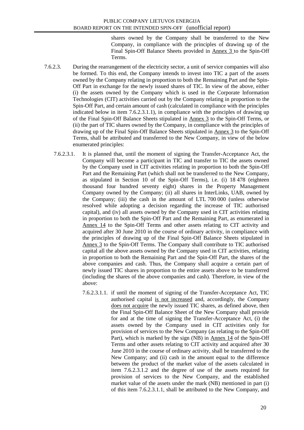shares owned by the Company shall be transferred to the New Company, in compliance with the principles of drawing up of the Final Spin-Off Balance Sheets provided in Annex 3 to the Spin-Off Terms.

- 7.6.2.3. During the rearrangement of the electricity sector, a unit of service companies will also be formed. To this end, the Company intends to invest into TIC a part of the assets owned by the Company relating in proportion to both the Remaining Part and the Spin-Off Part in exchange for the newly issued shares of TIC. In view of the above, either (i) the assets owned by the Company which is used in the Corporate Information Technologies (CIT) activities carried out by the Company relating in proportion to the Spin-Off Part, and certain amount of cash (calculated in compliance with the principles indicated below in item 7.6.2.3.1.1), in compliance with the principles of drawing up of the Final Spin-Off Balance Sheets stipulated in Annex 3 to the Spin-Off Terms, or (ii) the part of TIC shares owned by the Company, in compliance with the principles of drawing up of the Final Spin-Off Balance Sheets stipulated in Annex 3 to the Spin-Off Terms, shall be attributed and transferred to the New Company, in view of the below enumerated principles:
	- 7.6.2.3.1. It is planned that, until the moment of signing the Transfer-Acceptance Act, the Company will become a participant in TIC and transfer to TIC the assets owned by the Company used in CIT activities relating in proportion to both the Spin-Off Part and the Remaining Part (which shall not be transferred to the New Company, as stipulated in Section 10 of the Spin-Off Terms), i.e. (i) 18 478 (eighteen thousand four hundred seventy eight) shares in the Property Management Company owned by the Company; (ii) all shares in InterLinks, UAB, owned by the Company; (iii) the cash in the amount of LTL 700 000 (unless otherwise resolved while adopting a decision regarding the increase of TIC authorised capital), and (iv) all assets owned by the Company used in CIT activities relating in proportion to both the Spin-Off Part and the Remaining Part, as enumerated in Annex 14 to the Spin-Off Terms and other assets relating to CIT activity and acquired after 30 June 2010 in the course of ordinary activity, in compliance with the principles of drawing up of the Final Spin-Off Balance Sheets stipulated in Annex 3 to the Spin-Off Terms. The Company shall contribute to TIC authorised capital all the above assets owned by the Company used in CIT activities, relating in proportion to both the Remaining Part and the Spin-Off Part, the shares of the above companies and cash. Thus, the Company shall acquire a certain part of newly issued TIC shares in proportion to the entire assets above to be transferred (including the shares of the above companies and cash). Therefore, in view of the above:
		- 7.6.2.3.1.1. if until the moment of signing of the Transfer-Acceptance Act, TIC authorised capital is not increased and, accordingly, the Company does not acquire the newly issued TIC shares, as defined above, then the Final Spin-Off Balance Sheet of the New Company shall provide for and at the time of signing the Transfer-Acceptance Act, (i) the assets owned by the Company used in CIT activities only for provision of services to the New Company (as relating to the Spin-Off Part), which is marked by the sign (NB) in Annex 14 of the Spin-Off Terms and other assets relating to CIT activity and acquired after 30 June 2010 in the course of ordinary activity, shall be transferred to the New Company; and (ii) cash in the amount equal to the difference between the product of the market value of the assets calculated in item 7.6.2.3.1.2 and the degree of use of the assets required for provision of services to the New Company, and the established market value of the assets under the mark (NB) mentioned in part (i) of this item 7.6.2.3.1.1, shall be attributed to the New Company, and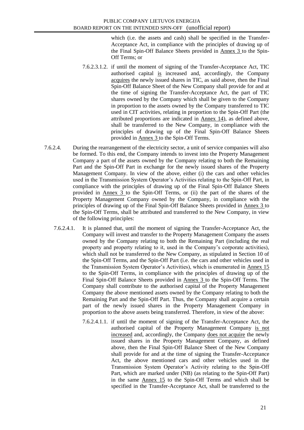which (i.e. the assets and cash) shall be specified in the Transfer-Acceptance Act, in compliance with the principles of drawing up of the Final Spin-Off Balance Sheets provided in Annex 3 to the Spin-Off Terms; or

- 7.6.2.3.1.2. if until the moment of signing of the Transfer-Acceptance Act, TIC authorised capital is increased and, accordingly, the Company acquires the newly issued shares in TIC, as said above, then the Final Spin-Off Balance Sheet of the New Company shall provide for and at the time of signing the Transfer-Acceptance Act, the part of TIC shares owned by the Company which shall be given to the Company in proportion to the assets owned by the Company transferred to TIC used in CIT activities, relating in proportion to the Spin-Off Part (the attributed proportions are indicated in Annex 14), as defined above, shall be transferred to the New Company, in compliance with the principles of drawing up of the Final Spin-Off Balance Sheets provided in Annex 3 to the Spin-Off Terms.
- 7.6.2.4. During the rearrangement of the electricity sector, a unit of service companies will also be formed. To this end, the Company intends to invest into the Property Management Company a part of the assets owned by the Company relating to both the Remaining Part and the Spin-Off Part in exchange for the newly issued shares of the Property Management Company. In view of the above, either (i) the cars and other vehicles used in the Transmission System Operator"s Activities relating to the Spin-Off Part, in compliance with the principles of drawing up of the Final Spin-Off Balance Sheets provided in Annex 3 to the Spin-Off Terms, or (ii) the part of the shares of the Property Management Company owned by the Company, in compliance with the principles of drawing up of the Final Spin-Off Balance Sheets provided in Annex 3 to the Spin-Off Terms, shall be attributed and transferred to the New Company, in view of the following principles:
	- 7.6.2.4.1. It is planned that, until the moment of signing the Transfer-Acceptance Act, the Company will invest and transfer to the Property Management Company the assets owned by the Company relating to both the Remaining Part (including the real property and property relating to it, used in the Company"s corporate activities), which shall not be transferred to the New Company, as stipulated in Section 10 of the Spin-Off Terms, and the Spin-Off Part (i.e. the cars and other vehicles used in the Transmission System Operator"s Activities), which is enumerated in Annex 15 to the Spin-Off Terms, in compliance with the principles of drawing up of the Final Spin-Off Balance Sheets provided in Annex 3 to the Spin-Off Terms. The Company shall contribute to the authorised capital of the Property Management Company the above mentioned assets owned by the Company relating to both the Remaining Part and the Spin-Off Part. Thus, the Company shall acquire a certain part of the newly issued shares in the Property Management Company in proportion to the above assets being transferred. Therefore, in view of the above:
		- 7.6.2.4.1.1. if until the moment of signing of the Transfer-Acceptance Act, the authorised capital of the Property Management Company is not increased and, accordingly, the Company does not acquire the newly issued shares in the Property Management Company, as defined above, then the Final Spin-Off Balance Sheet of the New Company shall provide for and at the time of signing the Transfer-Acceptance Act, the above mentioned cars and other vehicles used in the Transmission System Operator"s Activity relating to the Spin-Off Part, which are marked under (NB) (as relating to the Spin-Off Part) in the same Annex 15 to the Spin-Off Terms and which shall be specified in the Transfer-Acceptance Act, shall be transferred to the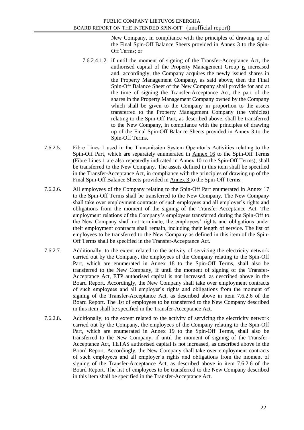New Company, in compliance with the principles of drawing up of the Final Spin-Off Balance Sheets provided in Annex 3 to the Spin-Off Terms; or

- 7.6.2.4.1.2. if until the moment of signing of the Transfer-Acceptance Act, the authorised capital of the Property Management Group is increased and, accordingly, the Company acquires the newly issued shares in the Property Management Company, as said above, then the Final Spin-Off Balance Sheet of the New Company shall provide for and at the time of signing the Transfer-Acceptance Act, the part of the shares in the Property Management Company owned by the Company which shall be given to the Company in proportion to the assets transferred to the Property Management Company (the vehicles) relating to the Spin-Off Part, as described above, shall be transferred to the New Company, in compliance with the principles of drawing up of the Final Spin-Off Balance Sheets provided in Annex 3 to the Spin-Off Terms.
- 7.6.2.5. Fibre Lines 1 used in the Transmission System Operator"s Activities relating to the Spin-Off Part, which are separately enumerated in Annex 16 to the Spin-Off Terms (Fibre Lines 1 are also repeatedly indicated in Annex 10 to the Spin-Off Terms), shall be transferred to the New Company. The assets defined in this item shall be specified in the Transfer-Acceptance Act, in compliance with the principles of drawing up of the Final Spin-Off Balance Sheets provided in Annex 3 to the Spin-Off Terms.
- 7.6.2.6. All employees of the Company relating to the Spin-Off Part enumerated in Annex 17 to the Spin-Off Terms shall be transferred to the New Company. The New Company shall take over employment contracts of such employees and all employer"s rights and obligations from the moment of the signing of the Transfer-Acceptance Act. The employment relations of the Company"s employees transferred during the Spin-Off to the New Company shall not terminate, the employees' rights and obligations under their employment contracts shall remain, including their length of service. The list of employees to be transferred to the New Company as defined in this item of the Spin-Off Terms shall be specified in the Transfer-Acceptance Act.
- 7.6.2.7. Additionally, to the extent related to the activity of servicing the electricity network carried out by the Company, the employees of the Company relating to the Spin-Off Part, which are enumerated in Annex 18 to the Spin-Off Terms, shall also be transferred to the New Company, if until the moment of signing of the Transfer-Acceptance Act, ETP authorised capital is not increased, as described above in the Board Report. Accordingly, the New Company shall take over employment contracts of such employees and all employer"s rights and obligations from the moment of signing of the Transfer-Acceptance Act, as described above in item 7.6.2.6 of the Board Report. The list of employees to be transferred to the New Company described in this item shall be specified in the Transfer-Acceptance Act.
- 7.6.2.8. Additionally, to the extent related to the activity of servicing the electricity network carried out by the Company, the employees of the Company relating to the Spin-Off Part, which are enumerated in Annex 19 to the Spin-Off Terms, shall also be transferred to the New Company, if until the moment of signing of the Transfer-Acceptance Act, TETAS authorised capital is not increased, as described above in the Board Report. Accordingly, the New Company shall take over employment contracts of such employees and all employer"s rights and obligations from the moment of signing of the Transfer-Acceptance Act, as described above in item 7.6.2.6 of the Board Report. The list of employees to be transferred to the New Company described in this item shall be specified in the Transfer-Acceptance Act.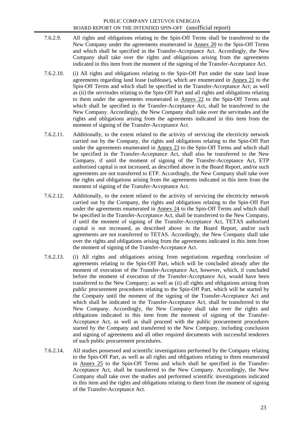- 7.6.2.9. All rights and obligations relating to the Spin-Off Terms shall be transferred to the New Company under the agreements enumerated in Annex 20 to the Spin-Off Terms and which shall be specified in the Transfer-Acceptance Act. Accordingly, the New Company shall take over the rights and obligations arising from the agreements indicated in this item from the moment of the signing of the Transfer-Acceptance Act.
- 7.6.2.10. (i) All rights and obligations relating to the Spin-Off Part under the state land lease agreements regarding land lease (sublease), which are enumerated in Annex 21 to the Spin-Off Terms and which shall be specified in the Transfer-Acceptance Act; as well as (ii) the servitudes relating to the Spin-Off Part and all rights and obligations relating to them under the agreements enumerated in Annex 22 to the Spin-Off Terms and which shall be specified in the Transfer-Acceptance Act, shall be transferred to the New Company. Accordingly, the New Company shall take over the servitudes and the rights and obligations arising from the agreements indicated in this item from the moment of signing of the Transfer-Acceptance Act.
- 7.6.2.11. Additionally, to the extent related to the activity of servicing the electricity network carried out by the Company, the rights and obligations relating to the Spin-Off Part under the agreements enumerated in Annex 23 to the Spin-Off Terms and which shall be specified in the Transfer-Acceptance Act, shall also be transferred to the New Company, if until the moment of signing of the Transfer-Acceptance Act, ETP authorised capital is not increased, as described above in the Board Report, and/or such agreements are not transferred to ETP. Accordingly, the New Company shall take over the rights and obligations arising from the agreements indicated in this item from the moment of signing of the Transfer-Acceptance Act.
- 7.6.2.12. Additionally, to the extent related to the activity of servicing the electricity network carried out by the Company, the rights and obligations relating to the Spin-Off Part under the agreements enumerated in Annex 24 to the Spin-Off Terms and which shall be specified in the Transfer-Acceptance Act, shall be transferred to the New Company, if until the moment of signing of the Transfer-Acceptance Act, TETAS authorised capital is not increased, as described above in the Board Report, and/or such agreements are not transferred to TETAS. Accordingly, the New Company shall take over the rights and obligations arising from the agreements indicated in this item from the moment of signing of the Transfer-Acceptance Act.
- 7.6.2.13. (i) All rights and obligations arising from negotiations regarding conclusion of agreements relating to the Spin-Off Part, which will be concluded already after the moment of execution of the Transfer-Acceptance Act, however, which, if concluded before the moment of execution of the Transfer-Acceptance Act, would have been transferred to the New Company; as well as (ii) all rights and obligations arising from public procurement procedures relating to the Spin-Off Part, which will be started by the Company until the moment of the signing of the Transfer-Acceptance Act and which shall be indicated in the Transfer-Acceptance Act, shall be transferred to the New Company. Accordingly, the New Company shall take over the rights and obligations indicated in this item from the moment of signing of the Transfer-Acceptance Act, as well as shall proceed with the public procurement procedures started by the Company and transferred to the New Company, including conclusion and signing of agreements and all other required documents with successful tenderers of such public procurement procedures.
- 7.6.2.14. All studies possessed and scientific investigations performed by the Company relating to the Spin-Off Part, as well as all rights and obligations relating to them enumerated in Annex 25 to the Spin-Off Terms and which shall be specified in the Transfer-Acceptance Act, shall be transferred to the New Company. Accordingly, the New Company shall take over the studies and performed scientific investigations indicated in this item and the rights and obligations relating to them from the moment of signing of the Transfer-Acceptance Act.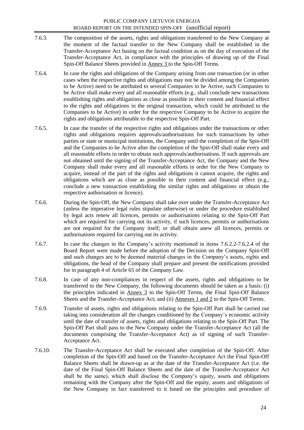- 7.6.3. The composition of the assets, rights and obligations transferred to the New Company at the moment of the factual transfer to the New Company shall be established in the Transfer-Acceptance Act basing on the factual condition as on the day of execution of the Transfer-Acceptance Act, in compliance with the principles of drawing up of the Final Spin-Off Balance Sheets provided in Annex 3 to the Spin-Off Terms.
- 7.6.4. In case the rights and obligations of the Company arising from one transaction (or in other cases when the respective rights and obligations may not be divided among the Companies to be Active) need to be attributed to several Companies to be Active, such Companies to be Active shall make every and all reasonable efforts (e.g., shall conclude new transactions establishing rights and obligations as close as possible in their content and financial effect to the rights and obligations in the original transaction, which could be attributed to the Companies to be Active) in order for the respective Company to be Active to acquire the rights and obligations attributable to the respective Spin-Off Part.
- 7.6.5. In case the transfer of the respective rights and obligations under the transactions or other rights and obligations requires approvals/authorisations for such transactions by other parties or state or municipal institutions, the Company until the completion of the Spin-Off and the Companies to be Active after the completion of the Spin-Off shall make every and all reasonable efforts in order to obtain such approvals/authorisations. If such approvals are not obtained until the signing of the Transfer-Acceptance Act, the Company and the New Company shall make every and all reasonable efforts in order for the New Company to acquire, instead of the part of the rights and obligations it cannot acquire, the rights and obligations which are as close as possible in their content and financial effect (e.g., conclude a new transaction establishing the similar rights and obligations or obtain the respective authorisation or licence).
- 7.6.6. During the Spin-Off, the New Company shall take over under the Transfer-Acceptance Act (unless the imperative legal rules stipulate otherwise) or under the procedure established by legal acts renew all licences, permits or authorisations relating to the Spin-Off Part which are required for carrying out its activity, if such licences, permits or authorisations are not required for the Company itself; or shall obtain anew all licences, permits or authorisations required for carrying out its activity.
- 7.6.7. In case the changes in the Company"s activity mentioned in items 7.6.2.2-7.6.2.4 of the Board Report were made before the adoption of the Decision on the Company Spin-Off and such changes are to be deemed material changes in the Company"s assets, rights and obligations, the head of the Company shall prepare and present the notifications provided for in paragraph 4 of Article 65 of the Company Law.
- 7.6.8. In case of any non-compliances in respect of the assets, rights and obligations to be transferred to the New Company, the following documents should be taken as a basis: (i) the principles indicated in Annex 3 to the Spin-Off Terms, the Final Spin-Off Balance Sheets and the Transfer-Acceptance Act; and (ii) Annexes 1 and 2 to the Spin-Off Terms.
- 7.6.9. Transfer of assets, rights and obligations relating to the Spin-Off Part shall be carried out taking into consideration all the changes conditioned by the Company"s economic activity until the date of transfer of assets, rights and obligations relating to the Spin-Off Part. The Spin-Off Part shall pass to the New Company under the Transfer-Acceptance Act (all the documents comprising the Transfer-Acceptance Act) as of signing of such Transfer-Acceptance Act.
- 7.6.10. The Transfer-Acceptance Act shall be executed after completion of the Spin-Off. After completion of the Spin-Off and based on the Transfer-Acceptance Act the Final Spin-Off Balance Sheets shall be drawn-up as at the date of the Transfer-Acceptance Act (i.e. the date of the Final Spin-Off Balance Sheets and the date of the Transfer-Acceptance Act shall be the same), which shall disclose the Company's equity, assets and obligations remaining with the Company after the Spin-Off and the equity, assets and obligations of the New Company in fact transferred to it based on the principles and procedure of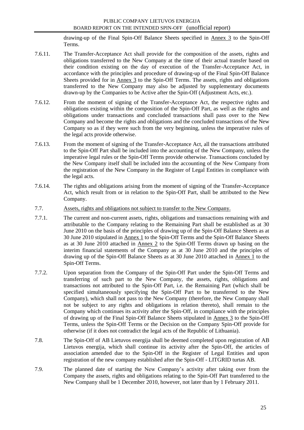drawing-up of the Final Spin-Off Balance Sheets specified in Annex 3 to the Spin-Off Terms.

- 7.6.11. The Transfer-Acceptance Act shall provide for the composition of the assets, rights and obligations transferred to the New Company at the time of their actual transfer based on their condition existing on the day of execution of the Transfer-Acceptance Act, in accordance with the principles and procedure of drawing-up of the Final Spin-Off Balance Sheets provided for in Annex 3 to the Spin-Off Terms. The assets, rights and obligations transferred to the New Company may also be adjusted by supplementary documents drawn-up by the Companies to be Active after the Spin-Off (Adjustment Acts, etc.).
- 7.6.12. From the moment of signing of the Transfer-Acceptance Act, the respective rights and obligations existing within the composition of the Spin-Off Part, as well as the rights and obligations under transactions and concluded transactions shall pass over to the New Company and become the rights and obligations and the concluded transactions of the New Company so as if they were such from the very beginning, unless the imperative rules of the legal acts provide otherwise.
- 7.6.13. From the moment of signing of the Transfer-Acceptance Act, all the transactions attributed to the Spin-Off Part shall be included into the accounting of the New Company, unless the imperative legal rules or the Spin-Off Terms provide otherwise. Transactions concluded by the New Company itself shall be included into the accounting of the New Company from the registration of the New Company in the Register of Legal Entities in compliance with the legal acts.
- 7.6.14. The rights and obligations arising from the moment of signing of the Transfer-Acceptance Act, which result from or in relation to the Spin-Off Part, shall be attributed to the New Company.
- 7.7. Assets, rights and obligations not subject to transfer to the New Company.
- 7.7.1. The current and non-current assets, rights, obligations and transactions remaining with and attributable to the Company relating to the Remaining Part shall be established as at 30 June 2010 on the basis of the principles of drawing up of the Spin-Off Balance Sheets as at 30 June 2010 stipulated in Annex 1 to the Spin-Off Terms and the Spin-Off Balance Sheets as at 30 June 2010 attached in Annex 2 to the Spin-Off Terms drawn up basing on the interim financial statements of the Company as at 30 June 2010 and the principles of drawing up of the Spin-Off Balance Sheets as at 30 June 2010 attached in Annex 1 to the Spin-Off Terms.
- 7.7.2. Upon separation from the Company of the Spin-Off Part under the Spin-Off Terms and transferring of such part to the New Company, the assets, rights, obligations and transactions not attributed to the Spin-Off Part, i.e. the Remaining Part (which shall be specified simultaneously specifying the Spin-Off Part to be transferred to the New Company), which shall not pass to the New Company (therefore, the New Company shall not be subject to any rights and obligations in relation thereto), shall remain to the Company which continues its activity after the Spin-Off, in compliance with the principles of drawing up of the Final Spin-Off Balance Sheets stipulated in Annex 3 to the Spin-Off Terms, unless the Spin-Off Terms or the Decision on the Company Spin-Off provide for otherwise (if it does not contradict the legal acts of the Republic of Lithuania).
- 7.8. The Spin-Off of AB Lietuvos energija shall be deemed completed upon registration of AB Lietuvos energija, which shall continue its activity after the Spin-Off, the articles of association amended due to the Spin-Off in the Register of Legal Entities and upon registration of the new company established after the Spin-Off - LITGRID turtas AB.
- 7.9. The planned date of starting the New Company"s activity after taking over from the Company the assets, rights and obligations relating to the Spin-Off Part transferred to the New Company shall be 1 December 2010, however, not later than by 1 February 2011.